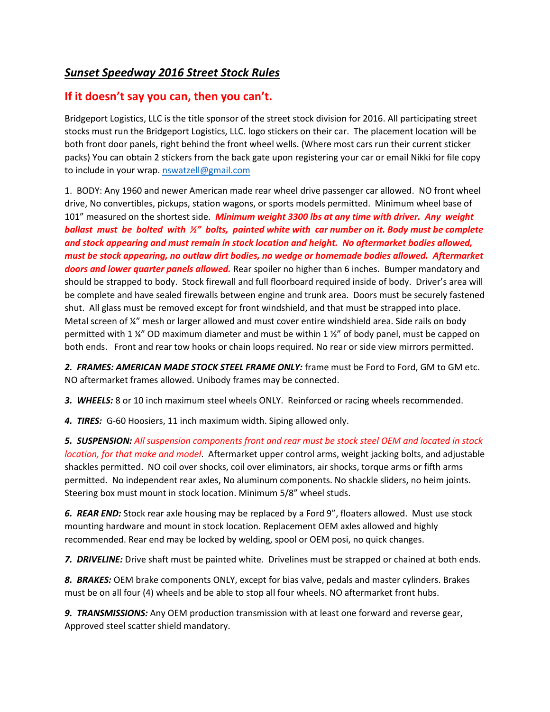## *Sunset Speedway 2016 Street Stock Rules*

## **If it doesn't say you can, then you can't.**

Bridgeport Logistics, LLC is the title sponsor of the street stock division for 2016. All participating street stocks must run the Bridgeport Logistics, LLC. logo stickers on their car. The placement location will be both front door panels, right behind the front wheel wells. (Where most cars run their current sticker packs) You can obtain 2 stickers from the back gate upon registering your car or email Nikki for file copy to include in your wrap. [nswatzell@gmail.com](mailto:nswatzell@gmail.com)

1. BODY: Any 1960 and newer American made rear wheel drive passenger car allowed. NO front wheel drive, No convertibles, pickups, station wagons, or sports models permitted. Minimum wheel base of 101" measured on the shortest side. *Minimum weight 3300 lbs at any time with driver. Any weight ballast must be bolted with ½" bolts, painted white with car number on it. Body must be complete and stock appearing and must remain in stock location and height. No aftermarket bodies allowed, must be stock appearing, no outlaw dirt bodies, no wedge or homemade bodies allowed. Aftermarket doors and lower quarter panels allowed.* Rear spoiler no higher than 6 inches. Bumper mandatory and should be strapped to body. Stock firewall and full floorboard required inside of body. Driver's area will be complete and have sealed firewalls between engine and trunk area. Doors must be securely fastened shut. All glass must be removed except for front windshield, and that must be strapped into place. Metal screen of <sup>1</sup>/4" mesh or larger allowed and must cover entire windshield area. Side rails on body permitted with 1  $\frac{1}{4}$  OD maximum diameter and must be within 1  $\frac{1}{2}$  of body panel, must be capped on both ends. Front and rear tow hooks or chain loops required. No rear or side view mirrors permitted.

*2. FRAMES: AMERICAN MADE STOCK STEEL FRAME ONLY:* frame must be Ford to Ford, GM to GM etc. NO aftermarket frames allowed. Unibody frames may be connected.

*3. WHEELS:* 8 or 10 inch maximum steel wheels ONLY. Reinforced or racing wheels recommended.

*4. TIRES:* G-60 Hoosiers, 11 inch maximum width. Siping allowed only.

*5. SUSPENSION: All suspension components front and rear must be stock steel OEM and located in stock location, for that make and model*. Aftermarket upper control arms, weight jacking bolts, and adjustable shackles permitted. NO coil over shocks, coil over eliminators, air shocks, torque arms or fifth arms permitted. No independent rear axles, No aluminum components. No shackle sliders, no heim joints. Steering box must mount in stock location. Minimum 5/8" wheel studs.

*6. REAR END:* Stock rear axle housing may be replaced by a Ford 9", floaters allowed. Must use stock mounting hardware and mount in stock location. Replacement OEM axles allowed and highly recommended. Rear end may be locked by welding, spool or OEM posi, no quick changes.

*7. DRIVELINE:* Drive shaft must be painted white. Drivelines must be strapped or chained at both ends.

*8. BRAKES:* OEM brake components ONLY, except for bias valve, pedals and master cylinders. Brakes must be on all four (4) wheels and be able to stop all four wheels. NO aftermarket front hubs.

*9. TRANSMISSIONS:* Any OEM production transmission with at least one forward and reverse gear, Approved steel scatter shield mandatory.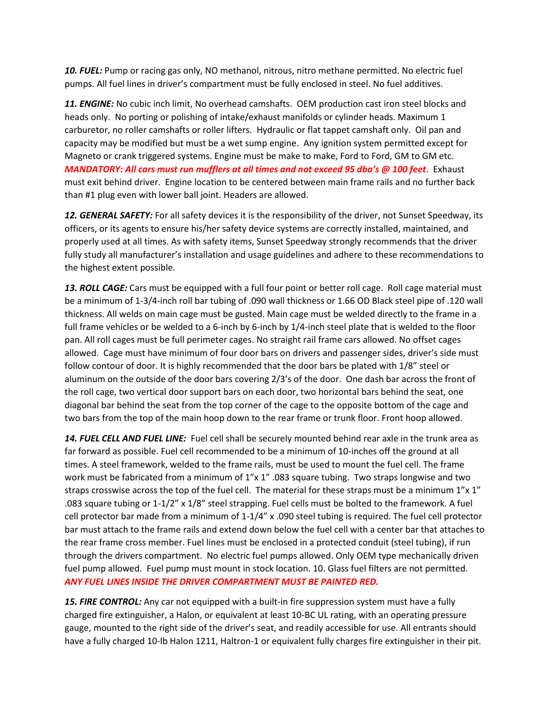*10. FUEL:* Pump or racing gas only, NO methanol, nitrous, nitro methane permitted. No electric fuel pumps. All fuel lines in driver's compartment must be fully enclosed in steel. No fuel additives.

*11. ENGINE:* No cubic inch limit, No overhead camshafts. OEM production cast iron steel blocks and heads only. No porting or polishing of intake/exhaust manifolds or cylinder heads. Maximum 1 carburetor, no roller camshafts or roller lifters. Hydraulic or flat tappet camshaft only. Oil pan and capacity may be modified but must be a wet sump engine. Any ignition system permitted except for Magneto or crank triggered systems. Engine must be make to make, Ford to Ford, GM to GM etc. *MANDATORY: All cars must run mufflers at all times and not exceed 95 dba's @ 100 feet*. Exhaust must exit behind driver. Engine location to be centered between main frame rails and no further back than #1 plug even with lower ball joint. Headers are allowed.

*12. GENERAL SAFETY:* For all safety devices it is the responsibility of the driver, not Sunset Speedway, its officers, or its agents to ensure his/her safety device systems are correctly installed, maintained, and properly used at all times. As with safety items, Sunset Speedway strongly recommends that the driver fully study all manufacturer's installation and usage guidelines and adhere to these recommendations to the highest extent possible.

13. ROLL CAGE: Cars must be equipped with a full four point or better roll cage. Roll cage material must be a minimum of 1-3/4-inch roll bar tubing of .090 wall thickness or 1.66 OD Black steel pipe of .120 wall thickness. All welds on main cage must be gusted. Main cage must be welded directly to the frame in a full frame vehicles or be welded to a 6-inch by 6-inch by 1/4-inch steel plate that is welded to the floor pan. All roll cages must be full perimeter cages. No straight rail frame cars allowed. No offset cages allowed. Cage must have minimum of four door bars on drivers and passenger sides, driver's side must follow contour of door. It is highly recommended that the door bars be plated with 1/8" steel or aluminum on the outside of the door bars covering 2/3's of the door. One dash bar across the front of the roll cage, two vertical door support bars on each door, two horizontal bars behind the seat, one diagonal bar behind the seat from the top corner of the cage to the opposite bottom of the cage and two bars from the top of the main hoop down to the rear frame or trunk floor. Front hoop allowed.

*14. FUEL CELL AND FUEL LINE:* Fuel cell shall be securely mounted behind rear axle in the trunk area as far forward as possible. Fuel cell recommended to be a minimum of 10-inches off the ground at all times. A steel framework, welded to the frame rails, must be used to mount the fuel cell. The frame work must be fabricated from a minimum of 1"x 1" .083 square tubing. Two straps longwise and two straps crosswise across the top of the fuel cell. The material for these straps must be a minimum 1"x 1" .083 square tubing or 1-1/2" x 1/8" steel strapping. Fuel cells must be bolted to the framework. A fuel cell protector bar made from a minimum of 1-1/4" x .090 steel tubing is required. The fuel cell protector bar must attach to the frame rails and extend down below the fuel cell with a center bar that attaches to the rear frame cross member. Fuel lines must be enclosed in a protected conduit (steel tubing), if run through the drivers compartment. No electric fuel pumps allowed. Only OEM type mechanically driven fuel pump allowed. Fuel pump must mount in stock location. 10. Glass fuel filters are not permitted. *ANY FUEL LINES INSIDE THE DRIVER COMPARTMENT MUST BE PAINTED RED.*

**15. FIRE CONTROL:** Any car not equipped with a built-in fire suppression system must have a fully charged fire extinguisher, a Halon, or equivalent at least 10-BC UL rating, with an operating pressure gauge, mounted to the right side of the driver's seat, and readily accessible for use. All entrants should have a fully charged 10-lb Halon 1211, Haltron-1 or equivalent fully charges fire extinguisher in their pit.